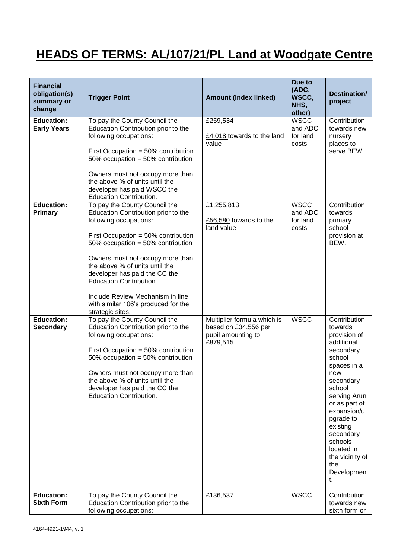## **HEADS OF TERMS: AL/107/21/PL Land at Woodgate Centre**

| <b>Financial</b><br>obligation(s)<br>summary or<br>change               | <b>Trigger Point</b>                                                                                                                                                                                                                                                                                                                                                                  | <b>Amount (index linked)</b>                                                          | Due to<br>(ADC,<br>WSCC.<br>NHS,<br>other)                             | <b>Destination/</b><br>project                                                                                                                                                                                                                                                         |
|-------------------------------------------------------------------------|---------------------------------------------------------------------------------------------------------------------------------------------------------------------------------------------------------------------------------------------------------------------------------------------------------------------------------------------------------------------------------------|---------------------------------------------------------------------------------------|------------------------------------------------------------------------|----------------------------------------------------------------------------------------------------------------------------------------------------------------------------------------------------------------------------------------------------------------------------------------|
| <b>Education:</b><br><b>Early Years</b><br><b>Education:</b><br>Primary | To pay the County Council the<br>Education Contribution prior to the<br>following occupations:<br>First Occupation = $50\%$ contribution<br>50% occupation = 50% contribution<br>Owners must not occupy more than<br>the above % of units until the<br>developer has paid WSCC the<br>Education Contribution.<br>To pay the County Council the<br>Education Contribution prior to the | £259,534<br>£4,018 towards to the land<br>value<br>£1,255,813                         | <b>WSCC</b><br>and ADC<br>for land<br>costs.<br><b>WSCC</b><br>and ADC | Contribution<br>towards new<br>nursery<br>places to<br>serve BEW.<br>Contribution<br>towards                                                                                                                                                                                           |
|                                                                         | following occupations:<br>First Occupation = 50% contribution<br>50% occupation = 50% contribution<br>Owners must not occupy more than<br>the above % of units until the<br>developer has paid the CC the<br><b>Education Contribution.</b><br>Include Review Mechanism in line<br>with similar 106's produced for the<br>strategic sites.                                            | £56,580 towards to the<br>land value                                                  | for land<br>costs.                                                     | primary<br>school<br>provision at<br>BEW.                                                                                                                                                                                                                                              |
| <b>Education:</b><br><b>Secondary</b>                                   | To pay the County Council the<br>Education Contribution prior to the<br>following occupations:<br>First Occupation = $50\%$ contribution<br>50% occupation = 50% contribution<br>Owners must not occupy more than<br>the above % of units until the<br>developer has paid the CC the<br><b>Education Contribution.</b>                                                                | Multiplier formula which is<br>based on £34,556 per<br>pupil amounting to<br>£879,515 | <b>WSCC</b>                                                            | Contribution<br>towards<br>provision of<br>additional<br>secondary<br>school<br>spaces in a<br>new<br>secondary<br>school<br>serving Arun<br>or as part of<br>expansion/u<br>pgrade to<br>existing<br>secondary<br>schools<br>located in<br>the vicinity of<br>the<br>Developmen<br>t. |
| <b>Education:</b><br><b>Sixth Form</b>                                  | To pay the County Council the<br>Education Contribution prior to the<br>following occupations:                                                                                                                                                                                                                                                                                        | £136,537                                                                              | <b>WSCC</b>                                                            | Contribution<br>towards new<br>sixth form or                                                                                                                                                                                                                                           |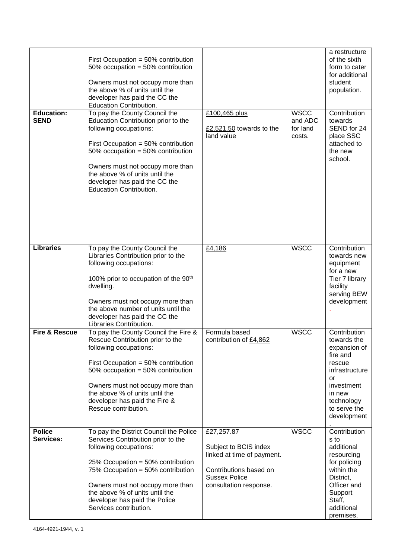| <b>Education:</b><br><b>SEND</b> | First Occupation = $50\%$ contribution<br>50% occupation = 50% contribution<br>Owners must not occupy more than<br>the above % of units until the<br>developer has paid the CC the<br>Education Contribution.<br>To pay the County Council the<br>Education Contribution prior to the<br>following occupations:      | £100,465 plus<br>£2,521.50 towards to the<br>land value                                                                                       | <b>WSCC</b><br>and ADC<br>for land<br>costs. | a restructure<br>of the sixth<br>form to cater<br>for additional<br>student<br>population.<br>Contribution<br>towards<br>SEND for 24<br>place SSC              |
|----------------------------------|----------------------------------------------------------------------------------------------------------------------------------------------------------------------------------------------------------------------------------------------------------------------------------------------------------------------|-----------------------------------------------------------------------------------------------------------------------------------------------|----------------------------------------------|----------------------------------------------------------------------------------------------------------------------------------------------------------------|
|                                  | First Occupation = $50\%$ contribution<br>50% occupation = 50% contribution<br>Owners must not occupy more than<br>the above % of units until the<br>developer has paid the CC the<br><b>Education Contribution.</b>                                                                                                 |                                                                                                                                               |                                              | attached to<br>the new<br>school.                                                                                                                              |
| <b>Libraries</b>                 | To pay the County Council the<br>Libraries Contribution prior to the<br>following occupations:<br>100% prior to occupation of the 90 <sup>th</sup><br>dwelling.<br>Owners must not occupy more than<br>the above number of units until the<br>developer has paid the CC the<br>Libraries Contribution.               | £4,186                                                                                                                                        | <b>WSCC</b>                                  | Contribution<br>towards new<br>equipment<br>for a new<br>Tier 7 library<br>facility<br>serving BEW<br>development                                              |
| <b>Fire &amp; Rescue</b>         | To pay the County Council the Fire &<br>Rescue Contribution prior to the<br>following occupations:<br>First Occupation = $50\%$ contribution<br>50% occupation = 50% contribution<br>Owners must not occupy more than<br>the above % of units until the<br>developer has paid the Fire &<br>Rescue contribution.     | Formula based<br>contribution of £4,862                                                                                                       | <b>WSCC</b>                                  | Contribution<br>towards the<br>expansion of<br>fire and<br>rescue<br>infrastructure<br>or<br>investment<br>in new<br>technology<br>to serve the<br>development |
| <b>Police</b><br>Services:       | To pay the District Council the Police<br>Services Contribution prior to the<br>following occupations:<br>25% Occupation = $50\%$ contribution<br>75% Occupation = 50% contribution<br>Owners must not occupy more than<br>the above % of units until the<br>developer has paid the Police<br>Services contribution. | £27,257.87<br>Subject to BCIS index<br>linked at time of payment.<br>Contributions based on<br><b>Sussex Police</b><br>consultation response. | <b>WSCC</b>                                  | Contribution<br>s to<br>additional<br>resourcing<br>for policing<br>within the<br>District,<br>Officer and<br>Support<br>Staff,<br>additional<br>premises,     |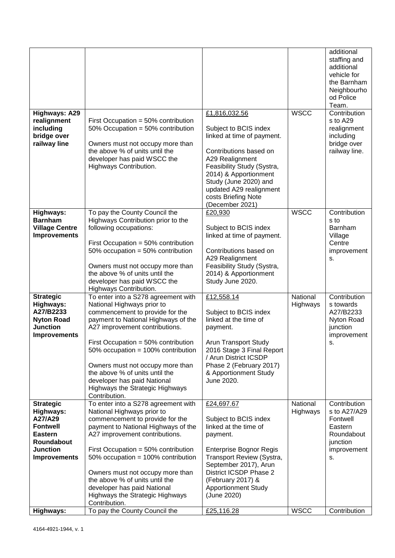| <b>Highways: A29</b>                                                                                                                  |                                                                                                                                                                                                                                                                                                                                                                                                                        | £1,816,032.56                                                                                                                                                                                                                                                | <b>WSCC</b>          | additional<br>staffing and<br>additional<br>vehicle for<br>the Barnham<br>Neighbourho<br>od Police<br>Team.<br>Contribution |
|---------------------------------------------------------------------------------------------------------------------------------------|------------------------------------------------------------------------------------------------------------------------------------------------------------------------------------------------------------------------------------------------------------------------------------------------------------------------------------------------------------------------------------------------------------------------|--------------------------------------------------------------------------------------------------------------------------------------------------------------------------------------------------------------------------------------------------------------|----------------------|-----------------------------------------------------------------------------------------------------------------------------|
| realignment<br>including<br>bridge over<br>railway line                                                                               | First Occupation = $50\%$ contribution<br>50% Occupation = 50% contribution<br>Owners must not occupy more than<br>the above % of units until the<br>developer has paid WSCC the<br>Highways Contribution.                                                                                                                                                                                                             | Subject to BCIS index<br>linked at time of payment.<br>Contributions based on<br>A29 Realignment<br>Feasibility Study (Systra,<br>2014) & Apportionment<br>Study (June 2020) and<br>updated A29 realignment<br>costs Briefing Note<br>(December 2021)        |                      | s to A29<br>realignment<br>including<br>bridge over<br>railway line.                                                        |
| Highways:<br><b>Barnham</b><br><b>Village Centre</b><br><b>Improvements</b>                                                           | To pay the County Council the<br>Highways Contribution prior to the<br>following occupations:<br>First Occupation = $50\%$ contribution<br>50% occupation = 50% contribution<br>Owners must not occupy more than<br>the above % of units until the<br>developer has paid WSCC the<br>Highways Contribution.                                                                                                            | £20,930<br>Subject to BCIS index<br>linked at time of payment.<br>Contributions based on<br>A29 Realignment<br>Feasibility Study (Systra,<br>2014) & Apportionment<br>Study June 2020.                                                                       | <b>WSCC</b>          | Contribution<br>s to<br>Barnham<br>Village<br>Centre<br>improvement<br>s.                                                   |
| <b>Strategic</b><br>Highways:<br>A27/B2233<br><b>Nyton Road</b><br><b>Junction</b><br><b>Improvements</b>                             | To enter into a S278 agreement with<br>National Highways prior to<br>commencement to provide for the<br>payment to National Highways of the<br>A27 improvement contributions.<br>First Occupation $= 50\%$ contribution<br>50% occupation = 100% contribution<br>Owners must not occupy more than<br>the above % of units until the<br>developer has paid National<br>Highways the Strategic Highways<br>Contribution. | £12,558.14<br>Subject to BCIS index<br>linked at the time of<br>payment.<br><b>Arun Transport Study</b><br>2016 Stage 3 Final Report<br>/ Arun District ICSDP<br>Phase 2 (February 2017)<br>& Apportionment Study<br>June 2020.                              | National<br>Highways | Contribution<br>s towards<br>A27/B2233<br>Nyton Road<br>junction<br>improvement<br>s.                                       |
| <b>Strategic</b><br>Highways:<br>A27/A29<br><b>Fontwell</b><br><b>Eastern</b><br>Roundabout<br><b>Junction</b><br><b>Improvements</b> | To enter into a S278 agreement with<br>National Highways prior to<br>commencement to provide for the<br>payment to National Highways of the<br>A27 improvement contributions.<br>First Occupation = $50\%$ contribution<br>50% occupation = 100% contribution<br>Owners must not occupy more than<br>the above % of units until the<br>developer has paid National<br>Highways the Strategic Highways<br>Contribution. | £24,697.67<br>Subject to BCIS index<br>linked at the time of<br>payment.<br><b>Enterprise Bognor Regis</b><br>Transport Review (Systra,<br>September 2017), Arun<br>District ICSDP Phase 2<br>(February 2017) &<br><b>Apportionment Study</b><br>(June 2020) | National<br>Highways | Contribution<br>s to A27/A29<br>Fontwell<br>Eastern<br>Roundabout<br>junction<br>improvement<br>s.                          |
| Highways:                                                                                                                             | To pay the County Council the                                                                                                                                                                                                                                                                                                                                                                                          | £25,116.28                                                                                                                                                                                                                                                   | <b>WSCC</b>          | Contribution                                                                                                                |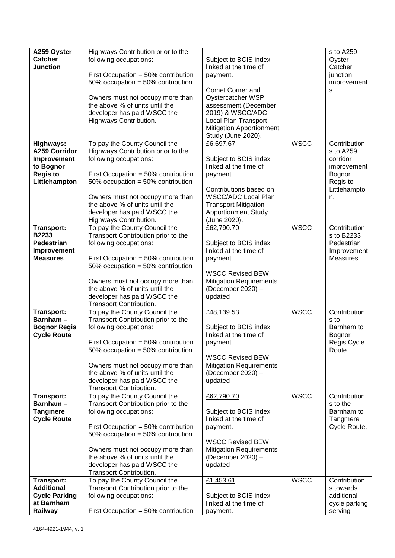| A259 Oyster                    | Highways Contribution prior to the                                          |                                                |             | s to A259                |
|--------------------------------|-----------------------------------------------------------------------------|------------------------------------------------|-------------|--------------------------|
| <b>Catcher</b>                 | following occupations:                                                      | Subject to BCIS index                          |             | Oyster                   |
| <b>Junction</b>                |                                                                             | linked at the time of                          |             | Catcher                  |
|                                | First Occupation = $50\%$ contribution                                      | payment.                                       |             | junction                 |
|                                | 50% occupation = 50% contribution                                           |                                                |             | improvement              |
|                                |                                                                             | Comet Corner and                               |             | s.                       |
|                                | Owners must not occupy more than                                            | Oystercatcher WSP                              |             |                          |
|                                | the above % of units until the                                              | assessment (December                           |             |                          |
|                                | developer has paid WSCC the                                                 | 2019) & WSCC/ADC                               |             |                          |
|                                | Highways Contribution.                                                      | Local Plan Transport                           |             |                          |
|                                |                                                                             | <b>Mitigation Apportionment</b>                |             |                          |
|                                |                                                                             | Study (June 2020).                             |             |                          |
| Highways:                      | To pay the County Council the                                               | £6,697.67                                      | <b>WSCC</b> | Contribution             |
| <b>A259 Corridor</b>           | Highways Contribution prior to the                                          |                                                |             | s to A259                |
| Improvement                    | following occupations:                                                      | Subject to BCIS index                          |             | corridor                 |
| to Bognor                      |                                                                             | linked at the time of                          |             | improvement              |
| <b>Regis to</b>                | First Occupation = $50\%$ contribution                                      | payment.                                       |             | Bognor                   |
| Littlehampton                  | 50% occupation = 50% contribution                                           |                                                |             | Regis to                 |
|                                |                                                                             | Contributions based on                         |             | Littlehampto             |
|                                | Owners must not occupy more than                                            | <b>WSCC/ADC Local Plan</b>                     |             | n.                       |
|                                | the above % of units until the                                              | <b>Transport Mitigation</b>                    |             |                          |
|                                | developer has paid WSCC the                                                 | <b>Apportionment Study</b>                     |             |                          |
|                                | Highways Contribution.                                                      | (June 2020).                                   |             |                          |
| <b>Transport:</b>              | To pay the County Council the                                               | £62,790.70                                     | <b>WSCC</b> | Contribution             |
| B2233                          | Transport Contribution prior to the                                         |                                                |             | s to B2233               |
| <b>Pedestrian</b>              | following occupations:                                                      | Subject to BCIS index<br>linked at the time of |             | Pedestrian               |
| Improvement<br><b>Measures</b> |                                                                             |                                                |             | Improvement<br>Measures. |
|                                | First Occupation = $50\%$ contribution<br>50% occupation = 50% contribution | payment.                                       |             |                          |
|                                |                                                                             | <b>WSCC Revised BEW</b>                        |             |                          |
|                                | Owners must not occupy more than                                            | <b>Mitigation Requirements</b>                 |             |                          |
|                                | the above % of units until the                                              | (December 2020) -                              |             |                          |
|                                | developer has paid WSCC the                                                 | updated                                        |             |                          |
|                                | Transport Contribution.                                                     |                                                |             |                          |
| <b>Transport:</b>              | To pay the County Council the                                               | £48,139.53                                     | <b>WSCC</b> | Contribution             |
| Barnham-                       | Transport Contribution prior to the                                         |                                                |             | s to                     |
| <b>Bognor Regis</b>            | following occupations:                                                      | Subject to BCIS index                          |             | Barnham to               |
| <b>Cycle Route</b>             |                                                                             | linked at the time of                          |             | Bognor                   |
|                                | First Occupation = 50% contribution                                         | payment.                                       |             | Regis Cycle              |
|                                | 50% occupation = 50% contribution                                           |                                                |             | Route.                   |
|                                |                                                                             | <b>WSCC Revised BEW</b>                        |             |                          |
|                                | Owners must not occupy more than                                            | <b>Mitigation Requirements</b>                 |             |                          |
|                                | the above % of units until the                                              | (December 2020) -                              |             |                          |
|                                | developer has paid WSCC the                                                 | updated                                        |             |                          |
| <b>Transport:</b>              | Transport Contribution.<br>To pay the County Council the                    | £62,790.70                                     | <b>WSCC</b> | Contribution             |
| Barnham-                       | Transport Contribution prior to the                                         |                                                |             | s to the                 |
| <b>Tangmere</b>                | following occupations:                                                      | Subject to BCIS index                          |             | Barnham to               |
| <b>Cycle Route</b>             |                                                                             | linked at the time of                          |             | Tangmere                 |
|                                | First Occupation = $50\%$ contribution                                      | payment.                                       |             | Cycle Route.             |
|                                | 50% occupation = 50% contribution                                           |                                                |             |                          |
|                                |                                                                             | <b>WSCC Revised BEW</b>                        |             |                          |
|                                | Owners must not occupy more than                                            | <b>Mitigation Requirements</b>                 |             |                          |
|                                | the above % of units until the                                              | (December 2020) -                              |             |                          |
|                                | developer has paid WSCC the                                                 | updated                                        |             |                          |
|                                | Transport Contribution.                                                     |                                                |             |                          |
| <b>Transport:</b>              | To pay the County Council the                                               | £1,453.61                                      | <b>WSCC</b> | Contribution             |
| <b>Additional</b>              | Transport Contribution prior to the                                         |                                                |             | s towards                |
| <b>Cycle Parking</b>           | following occupations:                                                      | Subject to BCIS index                          |             | additional               |
| at Barnham                     |                                                                             | linked at the time of                          |             | cycle parking            |
| Railway                        | First Occupation = $50\%$ contribution                                      | payment.                                       |             | serving                  |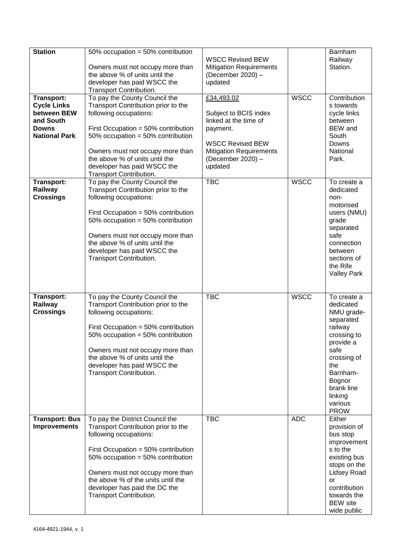| <b>Station</b><br><b>Transport:</b><br><b>Cycle Links</b>        | 50% occupation = 50% contribution<br>Owners must not occupy more than<br>the above % of units until the<br>developer has paid WSCC the<br>Transport Contribution.<br>To pay the County Council the<br>Transport Contribution prior to the                                                                             | <b>WSCC Revised BEW</b><br><b>Mitigation Requirements</b><br>(December 2020) -<br>updated<br>£34,493.02                                                 | <b>WSCC</b> | Barnham<br>Railway<br>Station.<br>Contribution<br>s towards                                                                                                                                       |
|------------------------------------------------------------------|-----------------------------------------------------------------------------------------------------------------------------------------------------------------------------------------------------------------------------------------------------------------------------------------------------------------------|---------------------------------------------------------------------------------------------------------------------------------------------------------|-------------|---------------------------------------------------------------------------------------------------------------------------------------------------------------------------------------------------|
| between BEW<br>and South<br><b>Downs</b><br><b>National Park</b> | following occupations:<br>First Occupation = $50\%$ contribution<br>50% occupation = $50\%$ contribution<br>Owners must not occupy more than<br>the above % of units until the<br>developer has paid WSCC the<br>Transport Contribution.                                                                              | Subject to BCIS index<br>linked at the time of<br>payment.<br><b>WSCC Revised BEW</b><br><b>Mitigation Requirements</b><br>(December 2020) -<br>updated |             | cycle links<br>between<br><b>BEW</b> and<br>South<br>Downs<br>National<br>Park.                                                                                                                   |
| <b>Transport:</b><br>Railway<br><b>Crossings</b>                 | To pay the County Council the<br>Transport Contribution prior to the<br>following occupations:<br>First Occupation = $50\%$ contribution<br>50% occupation = 50% contribution<br>Owners must not occupy more than<br>the above % of units until the<br>developer has paid WSCC the<br>Transport Contribution.         | <b>TBC</b>                                                                                                                                              | <b>WSCC</b> | To create a<br>dedicated<br>non-<br>motorised<br>users (NMU)<br>grade<br>separated<br>safe<br>connection<br>between<br>sections of<br>the Rife<br><b>Valley Park</b>                              |
| <b>Transport:</b><br>Railway<br><b>Crossings</b>                 | To pay the County Council the<br>Transport Contribution prior to the<br>following occupations:<br>First Occupation = $50\%$ contribution<br>50% occupation = 50% contribution<br>Owners must not occupy more than<br>the above % of units until the<br>developer has paid WSCC the<br>Transport Contribution.         | <b>TBC</b>                                                                                                                                              | <b>WSCC</b> | To create a<br>dedicated<br>NMU grade-<br>separated<br>railway<br>crossing to<br>provide a<br>safe<br>crossing of<br>the<br>Barnham-<br>Bognor<br>brank line<br>linking<br>various<br><b>PROW</b> |
| <b>Transport: Bus</b><br><b>Improvements</b>                     | To pay the District Council the<br>Transport Contribution prior to the<br>following occupations:<br>First Occupation = $50\%$ contribution<br>50% occupation = 50% contribution<br>Owners must not occupy more than<br>the above % of the units until the<br>developer has paid the DC the<br>Transport Contribution. | <b>TBC</b>                                                                                                                                              | <b>ADC</b>  | Either<br>provision of<br>bus stop<br>improvement<br>s to the<br>existing bus<br>stops on the<br><b>Lidsey Road</b><br>or<br>contribution<br>towards the<br><b>BEW</b> site<br>wide public        |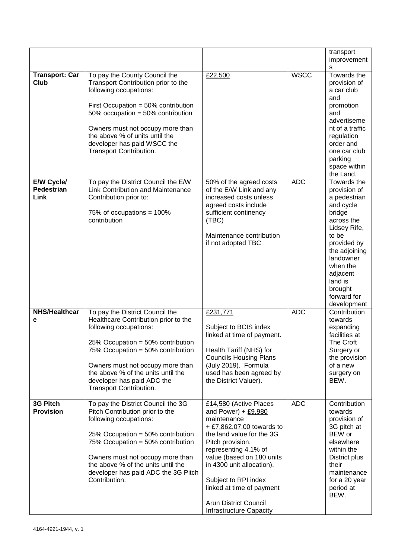|                                         |                                                                                                                                                                                                                                                                                                                  |                                                                                                                                                                                                                                                                                                                                                |             | transport<br>improvement<br>S                                                                                                                                                                                                      |
|-----------------------------------------|------------------------------------------------------------------------------------------------------------------------------------------------------------------------------------------------------------------------------------------------------------------------------------------------------------------|------------------------------------------------------------------------------------------------------------------------------------------------------------------------------------------------------------------------------------------------------------------------------------------------------------------------------------------------|-------------|------------------------------------------------------------------------------------------------------------------------------------------------------------------------------------------------------------------------------------|
| <b>Transport: Car</b><br><b>Club</b>    | To pay the County Council the<br>Transport Contribution prior to the<br>following occupations:<br>First Occupation = $50\%$ contribution<br>50% occupation = $50\%$ contribution<br>Owners must not occupy more than<br>the above % of units until the<br>developer has paid WSCC the<br>Transport Contribution. | £22,500                                                                                                                                                                                                                                                                                                                                        | <b>WSCC</b> | Towards the<br>provision of<br>a car club<br>and<br>promotion<br>and<br>advertiseme<br>nt of a traffic<br>regulation<br>order and<br>one car club<br>parking<br>space within<br>the Land.                                          |
| E/W Cycle/<br><b>Pedestrian</b><br>Link | To pay the District Council the E/W<br><b>Link Contribution and Maintenance</b><br>Contribution prior to:<br>75% of occupations = $100\%$<br>contribution                                                                                                                                                        | 50% of the agreed costs<br>of the E/W Link and any<br>increased costs unless<br>agreed costs include<br>sufficient continency<br>(TEC)<br>Maintenance contribution<br>if not adopted TBC                                                                                                                                                       | <b>ADC</b>  | Towards the<br>provision of<br>a pedestrian<br>and cycle<br>bridge<br>across the<br>Lidsey Rife,<br>to be<br>provided by<br>the adjoining<br>landowner<br>when the<br>adjacent<br>land is<br>brought<br>forward for<br>development |
| <b>NHS/Healthcar</b><br>е               | To pay the District Council the<br>Healthcare Contribution prior to the<br>following occupations:<br>25% Occupation = 50% contribution<br>75% Occupation = 50% contribution<br>Owners must not occupy more than<br>the above % of the units until the<br>developer has paid ADC the<br>Transport Contribution.   | £231,771<br>Subject to BCIS index<br>linked at time of payment.<br>Health Tariff (NHS) for<br><b>Councils Housing Plans</b><br>(July 2019). Formula<br>used has been agreed by<br>the District Valuer).                                                                                                                                        | <b>ADC</b>  | Contribution<br>towards<br>expanding<br>facilities at<br>The Croft<br>Surgery or<br>the provision<br>of a new<br>surgery on<br>BEW.                                                                                                |
| 3G Pitch<br><b>Provision</b>            | To pay the District Council the 3G<br>Pitch Contribution prior to the<br>following occupations:<br>25% Occupation = 50% contribution<br>75% Occupation = 50% contribution<br>Owners must not occupy more than<br>the above % of the units until the<br>developer has paid ADC the 3G Pitch<br>Contribution.      | £14,580 (Active Places<br>and Power) + $£9,980$<br>maintenance<br>+ £7,862.07.00 towards to<br>the land value for the 3G<br>Pitch provision,<br>representing 4.1% of<br>value (based on 180 units<br>in 4300 unit allocation).<br>Subject to RPI index<br>linked at time of payment<br><b>Arun District Council</b><br>Infrastructure Capacity | <b>ADC</b>  | Contribution<br>towards<br>provision of<br>3G pitch at<br>BEW or<br>elsewhere<br>within the<br>District plus<br>their<br>maintenance<br>for a 20 year<br>period at<br>BEW.                                                         |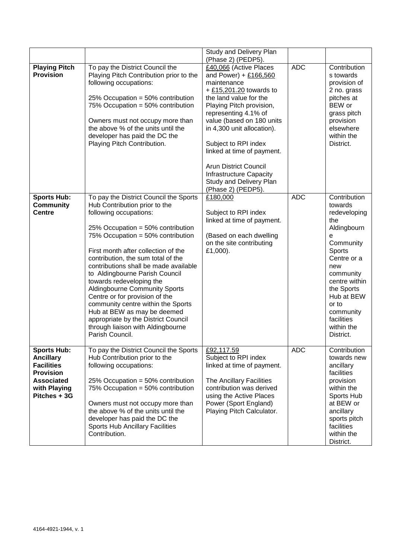|                                                                                                                               |                                                                                                                                                                                                                                                                                                                                                                                                                                                                                                                                                                                                               | Study and Delivery Plan<br>(Phase 2) (PEDP5).                                                                                                                                                                                                                                                                                                                                                          |            |                                                                                                                                                                                                                                          |
|-------------------------------------------------------------------------------------------------------------------------------|---------------------------------------------------------------------------------------------------------------------------------------------------------------------------------------------------------------------------------------------------------------------------------------------------------------------------------------------------------------------------------------------------------------------------------------------------------------------------------------------------------------------------------------------------------------------------------------------------------------|--------------------------------------------------------------------------------------------------------------------------------------------------------------------------------------------------------------------------------------------------------------------------------------------------------------------------------------------------------------------------------------------------------|------------|------------------------------------------------------------------------------------------------------------------------------------------------------------------------------------------------------------------------------------------|
| <b>Playing Pitch</b><br><b>Provision</b>                                                                                      | To pay the District Council the<br>Playing Pitch Contribution prior to the<br>following occupations:<br>25% Occupation = 50% contribution<br>75% Occupation = 50% contribution<br>Owners must not occupy more than<br>the above % of the units until the<br>developer has paid the DC the<br>Playing Pitch Contribution.                                                                                                                                                                                                                                                                                      | £40,066 (Active Places<br>and Power) + £166,560<br>maintenance<br>$+$ £15,201.20 towards to<br>the land value for the<br>Playing Pitch provision,<br>representing 4.1% of<br>value (based on 180 units<br>in 4,300 unit allocation).<br>Subject to RPI index<br>linked at time of payment.<br><b>Arun District Council</b><br>Infrastructure Capacity<br>Study and Delivery Plan<br>(Phase 2) (PEDP5). | <b>ADC</b> | Contribution<br>s towards<br>provision of<br>2 no. grass<br>pitches at<br>BEW or<br>grass pitch<br>provision<br>elsewhere<br>within the<br>District.                                                                                     |
| <b>Sports Hub:</b><br><b>Community</b><br><b>Centre</b>                                                                       | To pay the District Council the Sports<br>Hub Contribution prior to the<br>following occupations:<br>25% Occupation = 50% contribution<br>75% Occupation = 50% contribution<br>First month after collection of the<br>contribution, the sum total of the<br>contributions shall be made available<br>to Aldingbourne Parish Council<br>towards redeveloping the<br><b>Aldingbourne Community Sports</b><br>Centre or for provision of the<br>community centre within the Sports<br>Hub at BEW as may be deemed<br>appropriate by the District Council<br>through liaison with Aldingbourne<br>Parish Council. | £180,000<br>Subject to RPI index<br>linked at time of payment.<br>(Based on each dwelling<br>on the site contributing<br>£1,000).                                                                                                                                                                                                                                                                      | <b>ADC</b> | Contribution<br>towards<br>redeveloping<br>the<br>Aldingbourn<br>е<br>Community<br>Sports<br>Centre or a<br>new<br>community<br>centre within<br>the Sports<br>Hub at BEW<br>or to<br>community<br>facilities<br>within the<br>District. |
| Sports Hub:<br><b>Ancillary</b><br><b>Facilities</b><br><b>Provision</b><br><b>Associated</b><br>with Playing<br>Pitches + 3G | To pay the District Council the Sports<br>Hub Contribution prior to the<br>following occupations:<br>25% Occupation = $50\%$ contribution<br>75% Occupation = 50% contribution<br>Owners must not occupy more than<br>the above % of the units until the<br>developer has paid the DC the<br><b>Sports Hub Ancillary Facilities</b><br>Contribution.                                                                                                                                                                                                                                                          | £92,117.59<br>Subject to RPI index<br>linked at time of payment.<br>The Ancillary Facilities<br>contribution was derived<br>using the Active Places<br>Power (Sport England)<br>Playing Pitch Calculator.                                                                                                                                                                                              | <b>ADC</b> | Contribution<br>towards new<br>ancillary<br>facilities<br>provision<br>within the<br>Sports Hub<br>at BEW or<br>ancillary<br>sports pitch<br>facilities<br>within the<br>District.                                                       |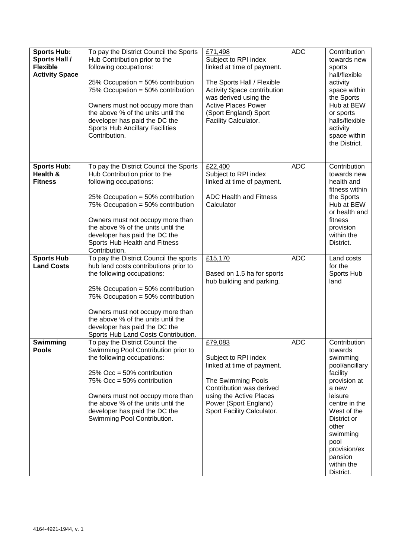| <b>Sports Hub:</b><br><b>Sports Hall /</b><br><b>Flexible</b><br><b>Activity Space</b> | To pay the District Council the Sports<br>Hub Contribution prior to the<br>following occupations:<br>25% Occupation = 50% contribution<br>75% Occupation = 50% contribution<br>Owners must not occupy more than<br>the above % of the units until the<br>developer has paid the DC the<br>Sports Hub Ancillary Facilities<br>Contribution. | £71,498<br>Subject to RPI index<br>linked at time of payment.<br>The Sports Hall / Flexible<br>Activity Space contribution<br>was derived using the<br><b>Active Places Power</b><br>(Sport England) Sport<br>Facility Calculator. | <b>ADC</b> | Contribution<br>towards new<br>sports<br>hall/flexible<br>activity<br>space within<br>the Sports<br>Hub at BEW<br>or sports<br>halls/flexible<br>activity<br>space within<br>the District.                                              |
|----------------------------------------------------------------------------------------|--------------------------------------------------------------------------------------------------------------------------------------------------------------------------------------------------------------------------------------------------------------------------------------------------------------------------------------------|------------------------------------------------------------------------------------------------------------------------------------------------------------------------------------------------------------------------------------|------------|-----------------------------------------------------------------------------------------------------------------------------------------------------------------------------------------------------------------------------------------|
| <b>Sports Hub:</b><br>Health &<br><b>Fitness</b>                                       | To pay the District Council the Sports<br>Hub Contribution prior to the<br>following occupations:<br>25% Occupation = 50% contribution<br>75% Occupation = 50% contribution<br>Owners must not occupy more than<br>the above % of the units until the<br>developer has paid the DC the<br>Sports Hub Health and Fitness<br>Contribution.   | £22,400<br>Subject to RPI index<br>linked at time of payment.<br><b>ADC Health and Fitness</b><br>Calculator                                                                                                                       | <b>ADC</b> | Contribution<br>towards new<br>health and<br>fitness within<br>the Sports<br>Hub at BEW<br>or health and<br>fitness<br>provision<br>within the<br>District.                                                                             |
| <b>Sports Hub</b><br><b>Land Costs</b>                                                 | To pay the District Council the sports<br>hub land costs contributions prior to<br>the following occupations:<br>25% Occupation = 50% contribution<br>75% Occupation = 50% contribution<br>Owners must not occupy more than<br>the above % of the units until the<br>developer has paid the DC the<br>Sports Hub Land Costs Contribution.  | £15,170<br>Based on 1.5 ha for sports<br>hub building and parking.                                                                                                                                                                 | <b>ADC</b> | Land costs<br>for the<br>Sports Hub<br>land                                                                                                                                                                                             |
| Swimming<br><b>Pools</b>                                                               | To pay the District Council the<br>Swimming Pool Contribution prior to<br>the following occupations:<br>25% Occ = 50% contribution<br>75% Occ = 50% contribution<br>Owners must not occupy more than<br>the above % of the units until the<br>developer has paid the DC the<br>Swimming Pool Contribution.                                 | £79,083<br>Subject to RPI index<br>linked at time of payment.<br>The Swimming Pools<br>Contribution was derived<br>using the Active Places<br>Power (Sport England)<br>Sport Facility Calculator.                                  | <b>ADC</b> | Contribution<br>towards<br>swimming<br>pool/ancillary<br>facility<br>provision at<br>a new<br>leisure<br>centre in the<br>West of the<br>District or<br>other<br>swimming<br>pool<br>provision/ex<br>pansion<br>within the<br>District. |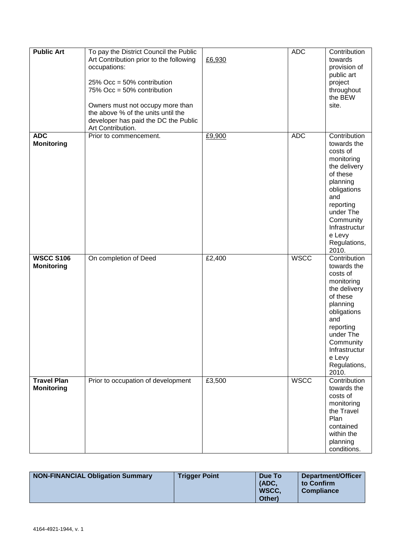| <b>Public Art</b>                       | To pay the District Council the Public<br>Art Contribution prior to the following<br>occupations:<br>25% Occ = 50% contribution<br>75% Occ = 50% contribution<br>Owners must not occupy more than<br>the above % of the units until the<br>developer has paid the DC the Public<br>Art Contribution. | £6,930 | <b>ADC</b>  | Contribution<br>towards<br>provision of<br>public art<br>project<br>throughout<br>the BEW<br>site.                                                                                                             |
|-----------------------------------------|------------------------------------------------------------------------------------------------------------------------------------------------------------------------------------------------------------------------------------------------------------------------------------------------------|--------|-------------|----------------------------------------------------------------------------------------------------------------------------------------------------------------------------------------------------------------|
| <b>ADC</b><br><b>Monitoring</b>         | Prior to commencement.                                                                                                                                                                                                                                                                               | £9,900 | <b>ADC</b>  | Contribution<br>towards the<br>costs of<br>monitoring<br>the delivery<br>of these<br>planning<br>obligations<br>and<br>reporting<br>under The<br>Community<br>Infrastructur<br>e Levy<br>Regulations,<br>2010. |
| <b>WSCC S106</b><br><b>Monitoring</b>   | On completion of Deed                                                                                                                                                                                                                                                                                | £2,400 | <b>WSCC</b> | Contribution<br>towards the<br>costs of<br>monitoring<br>the delivery<br>of these<br>planning<br>obligations<br>and<br>reporting<br>under The<br>Community<br>Infrastructur<br>e Levy<br>Regulations,<br>2010. |
| <b>Travel Plan</b><br><b>Monitoring</b> | Prior to occupation of development                                                                                                                                                                                                                                                                   | £3,500 | <b>WSCC</b> | Contribution<br>towards the<br>costs of<br>monitoring<br>the Travel<br>Plan<br>contained<br>within the<br>planning<br>conditions.                                                                              |

| NON-FINANCIAL Obligation Summary | <b>Trigger Point</b> | Due To | Department/Officer |
|----------------------------------|----------------------|--------|--------------------|
|                                  |                      | (ADC)  | to Confirm         |
|                                  |                      | WSCC.  | <b>Compliance</b>  |
|                                  |                      | Other) |                    |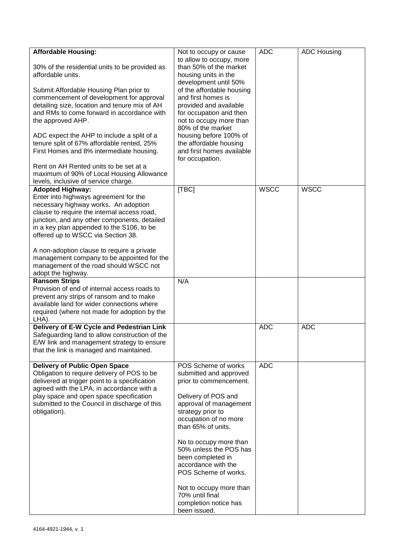| <b>Affordable Housing:</b>                         | Not to occupy or cause                              | <b>ADC</b>  | <b>ADC Housing</b> |
|----------------------------------------------------|-----------------------------------------------------|-------------|--------------------|
|                                                    | to allow to occupy, more                            |             |                    |
| 30% of the residential units to be provided as     | than 50% of the market                              |             |                    |
| affordable units.                                  | housing units in the                                |             |                    |
|                                                    | development until 50%                               |             |                    |
| Submit Affordable Housing Plan prior to            | of the affordable housing                           |             |                    |
| commencement of development for approval           | and first homes is                                  |             |                    |
| detailing size, location and tenure mix of AH      | provided and available                              |             |                    |
| and RMs to come forward in accordance with         | for occupation and then                             |             |                    |
| the approved AHP.                                  | not to occupy more than                             |             |                    |
|                                                    | 80% of the market                                   |             |                    |
| ADC expect the AHP to include a split of a         | housing before 100% of                              |             |                    |
| tenure split of 67% affordable rented, 25%         | the affordable housing<br>and first homes available |             |                    |
| First Homes and 8% intermediate housing.           | for occupation.                                     |             |                    |
| Rent on AH Rented units to be set at a             |                                                     |             |                    |
| maximum of 90% of Local Housing Allowance          |                                                     |             |                    |
| levels, inclusive of service charge.               |                                                     |             |                    |
| <b>Adopted Highway:</b>                            | [TBC]                                               | <b>WSCC</b> | <b>WSCC</b>        |
| Enter into highways agreement for the              |                                                     |             |                    |
| necessary highway works. An adoption               |                                                     |             |                    |
| clause to require the internal access road,        |                                                     |             |                    |
| junction, and any other components, detailed       |                                                     |             |                    |
| in a key plan appended to the S106, to be          |                                                     |             |                    |
| offered up to WSCC via Section 38.                 |                                                     |             |                    |
|                                                    |                                                     |             |                    |
| A non-adoption clause to require a private         |                                                     |             |                    |
| management company to be appointed for the         |                                                     |             |                    |
| management of the road should WSCC not             |                                                     |             |                    |
| adopt the highway.                                 |                                                     |             |                    |
| <b>Ransom Strips</b>                               | N/A                                                 |             |                    |
| Provision of end of internal access roads to       |                                                     |             |                    |
| prevent any strips of ransom and to make           |                                                     |             |                    |
| available land for wider connections where         |                                                     |             |                    |
| required (where not made for adoption by the       |                                                     |             |                    |
| LHA).<br>Delivery of E-W Cycle and Pedestrian Link |                                                     | <b>ADC</b>  | <b>ADC</b>         |
| Safeguarding land to allow construction of the     |                                                     |             |                    |
| E/W link and management strategy to ensure         |                                                     |             |                    |
| that the link is managed and maintained.           |                                                     |             |                    |
|                                                    |                                                     |             |                    |
| <b>Delivery of Public Open Space</b>               | POS Scheme of works                                 | <b>ADC</b>  |                    |
| Obligation to require delivery of POS to be        | submitted and approved                              |             |                    |
| delivered at trigger point to a specification      | prior to commencement.                              |             |                    |
| agreed with the LPA, in accordance with a          |                                                     |             |                    |
| play space and open space specification            | Delivery of POS and                                 |             |                    |
| submitted to the Council in discharge of this      | approval of management                              |             |                    |
| obligation).                                       | strategy prior to                                   |             |                    |
|                                                    | occupation of no more                               |             |                    |
|                                                    | than 65% of units.                                  |             |                    |
|                                                    |                                                     |             |                    |
|                                                    | No to occupy more than                              |             |                    |
|                                                    | 50% unless the POS has                              |             |                    |
|                                                    | been completed in                                   |             |                    |
|                                                    | accordance with the                                 |             |                    |
|                                                    | POS Scheme of works.                                |             |                    |
|                                                    | Not to occupy more than                             |             |                    |
|                                                    | 70% until final                                     |             |                    |
|                                                    | completion notice has                               |             |                    |
|                                                    | been issued.                                        |             |                    |